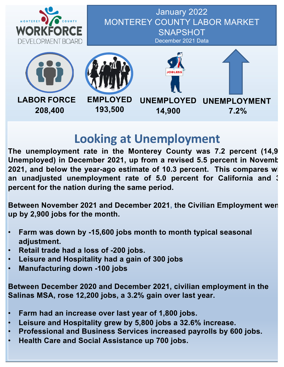

January 2022 MONTEREY COUNTY LABOR MARKET **SNAPSHOT** December 2021 Data





**193,500**





# **Looking at Unemployment**

**The unemployment rate in the Monterey County was 7.2 percent (14,900 Unemployed) in December 2021, up from a revised 5.5 percent in November 2021, and below the year-ago estimate of 10.3 percent. This compares with an unadjusted unemployment rate of 5.0 percent for California and 3.7 percent for the nation during the same period.**

**Between November 2021 and December 2021, the Civilian Employment went up by 2,900 jobs for the month.**

- **Farm was down by -15,600 jobs month to month typical seasonal adjustment.**
- **Retail trade had a loss of -200 jobs.**
- **Leisure and Hospitality had a gain of 300 jobs**
- **Manufacturing down -100 jobs**

**Between December 2020 and December 2021, civilian employment in the Salinas MSA, rose 12,200 jobs, a 3.2% gain over last year.**

- **Farm had an increase over last year of 1,800 jobs.**
- **Leisure and Hospitality grew by 5,800 jobs a 32.6% increase.**
- **Professional and Business Services increased payrolls by 600 jobs.**
- **Health Care and Social Assistance up 700 jobs.**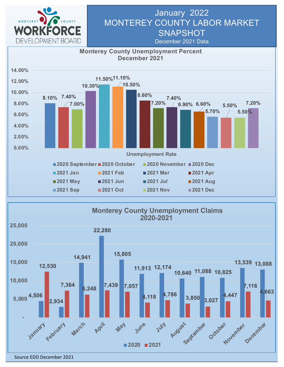

## January 2022 MONTEREY COUNTY LABOR MARKET **SNAPSHOT**

December 2021 Data



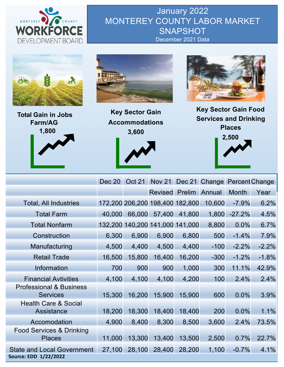

January 2022 MONTEREY COUNTY LABOR MARKET **SNAPSHOT** December 2021 Data







**Key Sector Gain Accommodations 3,600**



**Key Sector Gain Food Services and Drinking Places**



|                                                            | Dec 20 | Oct 21 |                                 |        | Nov 21 Dec 21 Change Percent Change |              |         |
|------------------------------------------------------------|--------|--------|---------------------------------|--------|-------------------------------------|--------------|---------|
|                                                            |        |        | Revised Prelim Annual           |        |                                     | <b>Month</b> | Year    |
| <b>Total, All Industries</b>                               |        |        | 172,200 206,200 198,400 182,800 |        | 10,600                              | $-7.9%$      | 6.2%    |
| <b>Total Farm</b>                                          | 40,000 | 66,000 | 57,400                          | 41,800 | 1,800                               | $-27.2%$     | 4.5%    |
| <b>Total Nonfarm</b>                                       |        |        | 132,200 140,200 141,000 141,000 |        | 8,800                               | 0.0%         | 6.7%    |
| Construction                                               | 6,300  | 6,900  | 6,900                           | 6,800  | 500                                 | $-1.4%$      | 7.9%    |
| Manufacturing                                              | 4,500  | 4,400  | 4,500                           | 4,400  | $-100$                              | $-2.2%$      | $-2.2%$ |
| <b>Retail Trade</b>                                        | 16,500 | 15,800 | 16,400                          | 16,200 | $-300$                              | $-1.2%$      | $-1.8%$ |
| Information                                                | 700    | 900    | 900                             | 1,000  | 300                                 | 11.1%        | 42.9%   |
| <b>Financial Avtivities</b>                                | 4,100  | 4,100  | 4,100                           | 4,200  | 100                                 | 2.4%         | 2.4%    |
| <b>Professional &amp; Business</b><br><b>Services</b>      | 15,300 | 16,200 | 15,900                          | 15,900 | 600                                 | 0.0%         | 3.9%    |
| <b>Health Care &amp; Social</b><br>Assistance              | 18,200 | 18,300 | 18,400                          | 18,400 | 200                                 | 0.0%         | 1.1%    |
| Accomodation                                               | 4,900  | 8,400  | 8,300                           | 8,500  | 3,600                               | 2.4%         | 73.5%   |
| Food Services & Drinking<br><b>Places</b>                  | 11,000 | 13,300 | 13,400                          | 13,500 | 2,500                               | 0.7%         | 22.7%   |
| <b>State and Local Government</b><br>Source: EDD 1/22/2022 | 27,100 | 28,100 | 28,400                          | 28,200 | 1,100                               | $-0.7%$      | 4.1%    |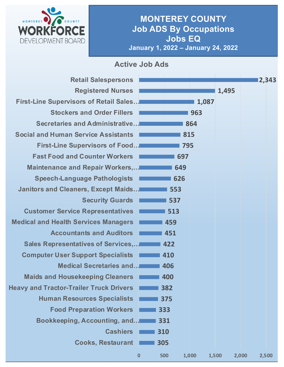

### **MONTEREY COUNTY Job ADS By Occupations Jobs EQ January 1, 2022 – January 24, 2022**

#### **Active Job Ads**

| <b>Retail Salespersons</b>                     |          |     |       |       | 2,343          |
|------------------------------------------------|----------|-----|-------|-------|----------------|
| <b>Registered Nurses</b>                       |          |     |       | 1,495 |                |
| <b>First-Line Supervisors of Retail Sales</b>  |          |     | 1,087 |       |                |
| <b>Stockers and Order Fillers</b>              |          |     | 963   |       |                |
| Secretaries and Administrative                 |          |     | 864   |       |                |
| <b>Social and Human Service Assistants</b>     |          |     | 815   |       |                |
| <b>First-Line Supervisors of Food</b>          |          | 795 |       |       |                |
| <b>Fast Food and Counter Workers</b>           |          | 697 |       |       |                |
| Maintenance and Repair Workers,                |          | 649 |       |       |                |
| <b>Speech-Language Pathologists</b>            |          | 626 |       |       |                |
| <b>Janitors and Cleaners, Except Maids</b>     |          | 553 |       |       |                |
| <b>Security Guards</b>                         |          | 537 |       |       |                |
| <b>Customer Service Representatives</b>        |          | 513 |       |       |                |
| <b>Medical and Health Services Managers</b>    |          | 459 |       |       |                |
| <b>Accountants and Auditors</b>                |          | 451 |       |       |                |
| <b>Sales Representatives of Services,</b>      |          | 422 |       |       |                |
| <b>Computer User Support Specialists</b>       |          | 410 |       |       |                |
| <b>Medical Secretaries and</b>                 |          | 406 |       |       |                |
| <b>Maids and Housekeeping Cleaners</b>         |          | 400 |       |       |                |
| <b>Heavy and Tractor-Trailer Truck Drivers</b> |          | 382 |       |       |                |
| <b>Human Resources Specialists</b>             |          | 375 |       |       |                |
| <b>Food Preparation Workers</b>                |          | 333 |       |       |                |
| Bookkeeping, Accounting, and                   |          | 331 |       |       |                |
| <b>Cashiers</b>                                |          | 310 |       |       |                |
| <b>Cooks, Restaurant</b>                       |          | 305 |       |       |                |
|                                                | $\bf{0}$ | 500 | 1,000 | 1,500 | 2,000<br>2,500 |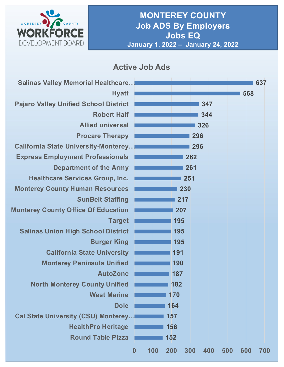

### **Active Job Ads**

| <b>Salinas Valley Memorial Healthcare</b>    |                         |     |            |     | 637        |
|----------------------------------------------|-------------------------|-----|------------|-----|------------|
| <b>Hyatt</b>                                 |                         |     |            |     | 568        |
| <b>Pajaro Valley Unified School District</b> |                         |     | 347        |     |            |
| <b>Robert Half</b>                           |                         |     | 344        |     |            |
| <b>Allied universal</b>                      |                         |     | 326        |     |            |
| <b>Procare Therapy</b>                       |                         |     | 296        |     |            |
| <b>California State University-Monterey</b>  |                         |     | 296        |     |            |
| <b>Express Employment Professionals</b>      |                         |     | 262        |     |            |
| <b>Department of the Army</b>                |                         |     | 261        |     |            |
| <b>Healthcare Services Group, Inc.</b>       |                         | 251 |            |     |            |
| <b>Monterey County Human Resources</b>       |                         | 230 |            |     |            |
| <b>SunBelt Staffing</b>                      |                         | 217 |            |     |            |
| <b>Monterey County Office Of Education</b>   |                         | 207 |            |     |            |
| <b>Target</b>                                |                         | 195 |            |     |            |
| <b>Salinas Union High School District</b>    |                         | 195 |            |     |            |
| <b>Burger King</b>                           |                         | 195 |            |     |            |
| <b>California State University</b>           |                         | 191 |            |     |            |
| <b>Monterey Peninsula Unified</b>            |                         | 190 |            |     |            |
| <b>AutoZone</b>                              |                         | 187 |            |     |            |
| North Monterey County Unified                |                         | 182 |            |     |            |
| <b>West Marine</b>                           |                         | 170 |            |     |            |
| <b>Dole</b>                                  |                         | 164 |            |     |            |
| Cal State University (CSU) Monterey          |                         | 157 |            |     |            |
| <b>HealthPro Heritage</b>                    |                         | 156 |            |     |            |
| <b>Round Table Pizza</b>                     |                         | 152 |            |     |            |
|                                              | 100<br>$\boldsymbol{0}$ | 200 | 300<br>400 | 500 | 600<br>700 |
|                                              |                         |     |            |     |            |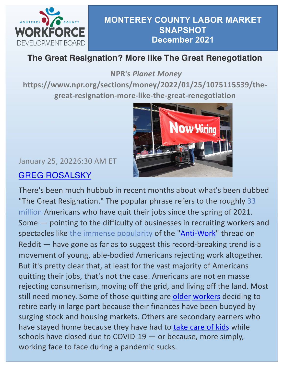

## **The Great Resignation? More like The Great Renegotiation**

**NPR's** *Planet Money* 

**https://www.npr.org/sections/money/2022/01/25/1075115539/thegreat-resignation-more-like-the-great-renegotiation**



# January 25, 20226:30 AM ET [GREG ROSALSKY](https://www.npr.org/people/726239784/greg-rosalsky)

There's been much hubbub in recent months about what's been dubbed "The Great Resignation." The popular phrase refers to the roughly 33 million Americans who have quit their jobs since the spring of 2021. Some — pointing to the difficulty of businesses in recruiting workers and spectacles like the immense popularity of th[e "Anti-Wor](https://click.nl.npr.org/?qs=b582a020d973e040423b91aa604b217baef718e4a953937a3120e0af6063e62f8052175106a4a2466db0714c13469c7edda3029cb21137e2)k" thread on Reddit — have gone as far as to suggest this record-breaking trend is a movement of young, able-bodied Americans rejecting work altogether. But it's pretty clear that, at least for the vast majority of Americans quitting their jobs, that's not the case. Americans are not en masse rejecting consumerism, moving off the grid, and living off the land. Most still need money. Some of those quitting are [olde](https://click.nl.npr.org/?qs=b582a020d973e0406504ad43c19d39da8b9ebc6c17bf1f5e0c04c7bc4cefa3c8a6bbaa36a04f10d80786bbbcc476ca81bfceeaf30d752493)r [worke](https://click.nl.npr.org/?qs=b582a020d973e040a7cdd87a7c72af8825fad90a8226fcf70f86eb8e5c4e5c4f19977f2d5d4962b1755bf8637a8262e514ec411337896aa4)rs deciding to retire early in large part because their finances have been buoyed by surging stock and housing markets. Others are secondary earners who have stayed home because they have had to [take care of kid](https://click.nl.npr.org/?qs=b582a020d973e040ac67d28b7e919e9e582d1bcebf25bcf8d02f8538bd8a9c6478ed7f2eaf5cfd86a2252066984959f74456a5215357097d)s while schools have closed due to COVID-19 — or because, more simply, working face to face during a pandemic sucks.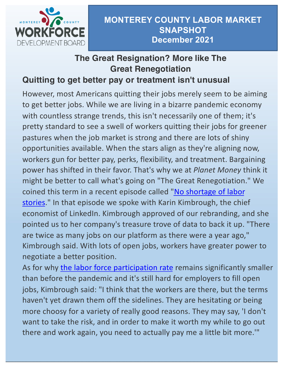

# **The Great Resignation? More like The Great Renegotiation**

### **Quitting to get better pay or treatment isn't unusual**

However, most Americans quitting their jobs merely seem to be aiming to get better jobs. While we are living in a bizarre pandemic economy with countless strange trends, this isn't necessarily one of them; it's pretty standard to see a swell of workers quitting their jobs for greener pastures when the job market is strong and there are lots of shiny opportunities available. When the stars align as they're aligning now, workers gun for better pay, perks, flexibility, and treatment. Bargaining power has shifted in their favor. That's why we at *Planet Money* think it might be better to call what's going on "The Great Renegotiation." We coined this term in a recent episode called "No shortage of labor [stories." In that episode we spoke with Karin Kimbrough, the ch](https://click.nl.npr.org/?qs=b582a020d973e0400e195b7084e7cf4cc5858cd10064073fa2ab4b8c712513945205216674b4c2df9462e051abc9abee4150b26b013680ab)ief economist of LinkedIn. Kimbrough approved of our rebranding, and she pointed us to her company's treasure trove of data to back it up. "There are twice as many jobs on our platform as there were a year ago," Kimbrough said. With lots of open jobs, workers have greater power to negotiate a better position.

As for why [the labor force participation rat](https://click.nl.npr.org/?qs=b582a020d973e04096df67b89016f996e0d8368711ff2f0a69f2cd17bd80b9d989e9adcf3562e25fc9533d1aec4928daec41f8a897ae6754)e remains significantly smaller than before the pandemic and it's still hard for employers to fill open jobs, Kimbrough said: "I think that the workers are there, but the terms haven't yet drawn them off the sidelines. They are hesitating or being more choosy for a variety of really good reasons. They may say, 'I don't want to take the risk, and in order to make it worth my while to go out there and work again, you need to actually pay me a little bit more.'"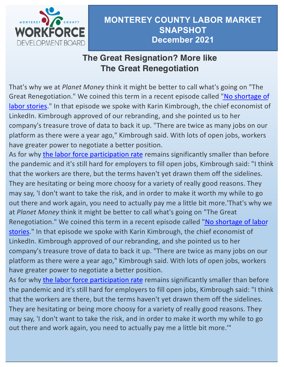

## **The Great Resignation? More like The Great Renegotiation**

That's why we at *Planet Money* think it might be better to call what's going on "The Great Renegotiation." We coined this term in a recent episode called "No shortage of [labor stories." In that episode we spoke with Karin Kimbrough, the chief economist](https://click.nl.npr.org/?qs=b582a020d973e0400e195b7084e7cf4cc5858cd10064073fa2ab4b8c712513945205216674b4c2df9462e051abc9abee4150b26b013680ab) of LinkedIn. Kimbrough approved of our rebranding, and she pointed us to her company's treasure trove of data to back it up. "There are twice as many jobs on our platform as there were a year ago," Kimbrough said. With lots of open jobs, workers have greater power to negotiate a better position.

As for why [the labor force participation rat](https://click.nl.npr.org/?qs=b582a020d973e04096df67b89016f996e0d8368711ff2f0a69f2cd17bd80b9d989e9adcf3562e25fc9533d1aec4928daec41f8a897ae6754)e remains significantly smaller than before the pandemic and it's still hard for employers to fill open jobs, Kimbrough said: "I think that the workers are there, but the terms haven't yet drawn them off the sidelines. They are hesitating or being more choosy for a variety of really good reasons. They may say, 'I don't want to take the risk, and in order to make it worth my while to go out there and work again, you need to actually pay me a little bit more.'That's why we at *Planet Money* think it might be better to call what's going on "The Great Renegotiation." We coined this term in a recent episode called "No shortage of labor [stories." In that episode we spoke with Karin Kimbrough, the chief economist of](https://click.nl.npr.org/?qs=b582a020d973e0400e195b7084e7cf4cc5858cd10064073fa2ab4b8c712513945205216674b4c2df9462e051abc9abee4150b26b013680ab)  LinkedIn. Kimbrough approved of our rebranding, and she pointed us to her company's treasure trove of data to back it up. "There are twice as many jobs on our platform as there were a year ago," Kimbrough said. With lots of open jobs, workers have greater power to negotiate a better position.

As for why [the labor force participation rat](https://click.nl.npr.org/?qs=b582a020d973e04096df67b89016f996e0d8368711ff2f0a69f2cd17bd80b9d989e9adcf3562e25fc9533d1aec4928daec41f8a897ae6754)e remains significantly smaller than before the pandemic and it's still hard for employers to fill open jobs, Kimbrough said: "I think that the workers are there, but the terms haven't yet drawn them off the sidelines. They are hesitating or being more choosy for a variety of really good reasons. They may say, 'I don't want to take the risk, and in order to make it worth my while to go out there and work again, you need to actually pay me a little bit more.'"